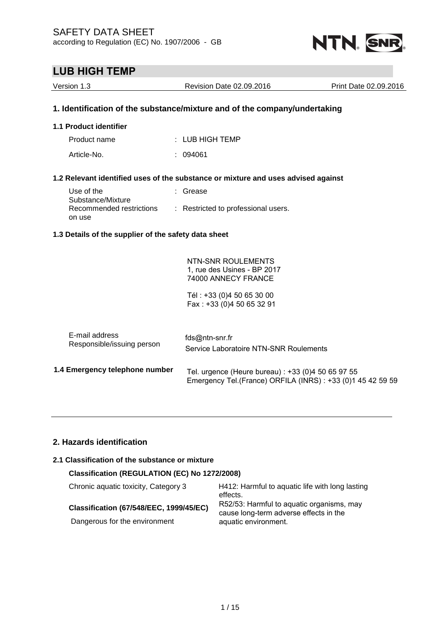

| Version 1.3                                             | Revision Date 02.09.2016                                                                                                           | Print Date 02.09.2016 |
|---------------------------------------------------------|------------------------------------------------------------------------------------------------------------------------------------|-----------------------|
|                                                         | 1. Identification of the substance/mixture and of the company/undertaking                                                          |                       |
| 1.1 Product identifier                                  |                                                                                                                                    |                       |
| Product name                                            | $:$ LUB HIGH TEMP                                                                                                                  |                       |
| Article-No.                                             | : 094061                                                                                                                           |                       |
|                                                         | 1.2 Relevant identified uses of the substance or mixture and uses advised against                                                  |                       |
| Use of the                                              | : Grease                                                                                                                           |                       |
| Substance/Mixture<br>Recommended restrictions<br>on use | : Restricted to professional users.                                                                                                |                       |
| 1.3 Details of the supplier of the safety data sheet    |                                                                                                                                    |                       |
|                                                         | NTN-SNR ROULEMENTS<br>1, rue des Usines - BP 2017<br>74000 ANNECY FRANCE<br>Tél: +33 (0)4 50 65 30 00<br>Fax: +33 (0)4 50 65 32 91 |                       |
| E-mail address<br>Responsible/issuing person            | fds@ntn-snr.fr<br>Service Laboratoire NTN-SNR Roulements                                                                           |                       |
| 1.4 Emergency telephone number                          | Tel. urgence (Heure bureau) : +33 (0)4 50 65 97 55<br>Emergency Tel.(France) ORFILA (INRS) : +33 (0)1 45 42 59 59                  |                       |
|                                                         |                                                                                                                                    |                       |

## **2. Hazards identification**

## **2.1 Classification of the substance or mixture**

## **Classification (REGULATION (EC) No 1272/2008)**

### **Classification (67/548/EEC, 1999/45/EC)**

Dangerous for the environment

Chronic aquatic toxicity, Category 3 H412: Harmful to aquatic life with long lasting effects. R52/53: Harmful to aquatic organisms, may cause long-term adverse effects in the aquatic environment.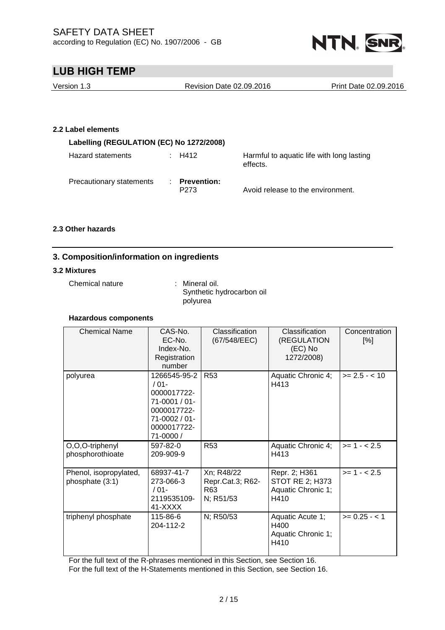

| Version 1.3                              |   | <b>Revision Date 02.09.2016</b>        |                                                       | Print Date 02.09.2016 |
|------------------------------------------|---|----------------------------------------|-------------------------------------------------------|-----------------------|
|                                          |   |                                        |                                                       |                       |
|                                          |   |                                        |                                                       |                       |
| 2.2 Label elements                       |   |                                        |                                                       |                       |
| Labelling (REGULATION (EC) No 1272/2008) |   |                                        |                                                       |                       |
| Hazard statements                        |   | $\therefore$ H412                      | Harmful to aquatic life with long lasting<br>effects. |                       |
| Precautionary statements                 | ÷ | <b>Prevention:</b><br>P <sub>273</sub> | Avoid release to the environment.                     |                       |

### **2.3 Other hazards**

## **3. Composition/information on ingredients**

#### **3.2 Mixtures**

Chemical nature : Mineral oil.

Synthetic hydrocarbon oil polyurea

#### **Hazardous components**

| <b>Chemical Name</b>                      | CAS-No.<br>EC-No.<br>Index-No.<br>Registration<br>number                                                            | Classification<br>(67/548/EEC)                     | Classification<br>(REGULATION<br>(EC) No<br>1272/2008)         | Concentration<br>[%] |
|-------------------------------------------|---------------------------------------------------------------------------------------------------------------------|----------------------------------------------------|----------------------------------------------------------------|----------------------|
| polyurea                                  | 1266545-95-2<br>$/01-$<br>0000017722-<br>$71-0001/01$ -<br>0000017722-<br>71-0002 / 01-<br>0000017722-<br>71-0000 / | <b>R53</b>                                         | Aquatic Chronic 4;<br>H413                                     | $>= 2.5 - < 10$      |
| O,O,O-triphenyl<br>phosphorothioate       | 597-82-0<br>209-909-9                                                                                               | <b>R53</b>                                         | Aquatic Chronic 4;<br>H413                                     | $>= 1 - 2.5$         |
| Phenol, isopropylated,<br>phosphate (3:1) | 68937-41-7<br>273-066-3<br>$/01-$<br>2119535109-<br>41-XXXX                                                         | Xn; R48/22<br>Repr.Cat.3; R62-<br>R63<br>N; R51/53 | Repr. 2; H361<br>STOT RE 2; H373<br>Aquatic Chronic 1;<br>H410 | $>= 1 - 2.5$         |
| triphenyl phosphate                       | 115-86-6<br>204-112-2                                                                                               | N; R50/53                                          | Aquatic Acute 1;<br>H400<br>Aquatic Chronic 1;<br>H410         | $>= 0.25 - 1$        |

For the full text of the R-phrases mentioned in this Section, see Section 16.

For the full text of the H-Statements mentioned in this Section, see Section 16.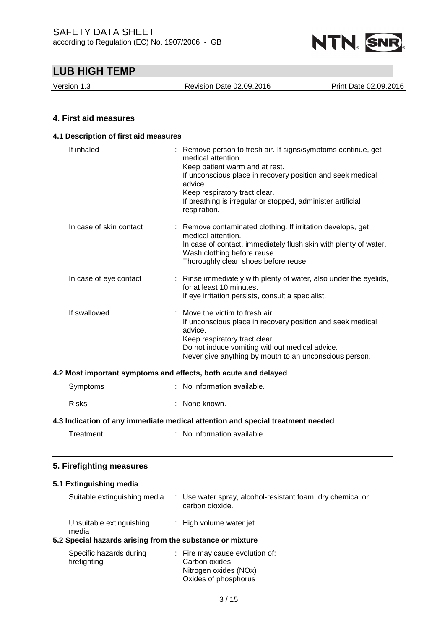

Version 1.3 Revision Date 02.09.2016 Print Date 02.09.2016

## **4. First aid measures**

## **4.1 Description of first aid measures** If inhaled : Remove person to fresh air. If signs/symptoms continue, get medical attention. Keep patient warm and at rest. If unconscious place in recovery position and seek medical advice. Keep respiratory tract clear. If breathing is irregular or stopped, administer artificial respiration. In case of skin contact : Remove contaminated clothing. If irritation develops, get medical attention. In case of contact, immediately flush skin with plenty of water. Wash clothing before reuse. Thoroughly clean shoes before reuse. In case of eye contact : Rinse immediately with plenty of water, also under the eyelids, for at least 10 minutes. If eye irritation persists, consult a specialist. If swallowed : Move the victim to fresh air. If unconscious place in recovery position and seek medical advice. Keep respiratory tract clear. Do not induce vomiting without medical advice. Never give anything by mouth to an unconscious person. **4.2 Most important symptoms and effects, both acute and delayed** Symptoms : No information available. Risks : None known. **4.3 Indication of any immediate medical attention and special treatment needed** Treatment : No information available. **5. Firefighting measures**

### **5.1 Extinguishing media**

| Suitable extinguishing media                              | : Use water spray, alcohol-resistant foam, dry chemical or<br>carbon dioxide. |
|-----------------------------------------------------------|-------------------------------------------------------------------------------|
| Unsuitable extinguishing<br>media                         | : High volume water jet                                                       |
| 5.2 Special hazards arising from the substance or mixture |                                                                               |

| Specific hazards during | : Fire may cause evolution of: |
|-------------------------|--------------------------------|
| firefighting            | Carbon oxides                  |
|                         | Nitrogen oxides (NOx)          |
|                         | Oxides of phosphorus           |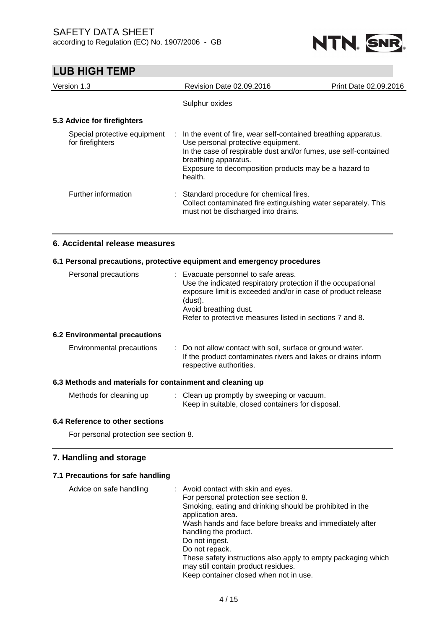

| Version 1.3                                      | <b>Revision Date 02.09.2016</b>                                                                                                                                                                                                                                       | Print Date 02.09.2016 |
|--------------------------------------------------|-----------------------------------------------------------------------------------------------------------------------------------------------------------------------------------------------------------------------------------------------------------------------|-----------------------|
|                                                  | Sulphur oxides                                                                                                                                                                                                                                                        |                       |
| 5.3 Advice for firefighters                      |                                                                                                                                                                                                                                                                       |                       |
| Special protective equipment<br>for firefighters | : In the event of fire, wear self-contained breathing apparatus.<br>Use personal protective equipment.<br>In the case of respirable dust and/or fumes, use self-contained<br>breathing apparatus.<br>Exposure to decomposition products may be a hazard to<br>health. |                       |
| Further information                              | : Standard procedure for chemical fires.<br>Collect contaminated fire extinguishing water separately. This<br>must not be discharged into drains.                                                                                                                     |                       |

## **6. Accidental release measures**

### **6.1 Personal precautions, protective equipment and emergency procedures**

| Personal precautions | : Evacuate personnel to safe areas.                                                                                                                              |
|----------------------|------------------------------------------------------------------------------------------------------------------------------------------------------------------|
|                      | Use the indicated respiratory protection if the occupational<br>exposure limit is exceeded and/or in case of product release<br>(dust).<br>Avoid breathing dust. |
|                      |                                                                                                                                                                  |
|                      | Refer to protective measures listed in sections 7 and 8.                                                                                                         |
|                      |                                                                                                                                                                  |

#### **6.2 Environmental precautions**

| Environmental precautions |  | : Do not allow contact with soil, surface or ground water.<br>If the product contaminates rivers and lakes or drains inform<br>respective authorities. |
|---------------------------|--|--------------------------------------------------------------------------------------------------------------------------------------------------------|
|---------------------------|--|--------------------------------------------------------------------------------------------------------------------------------------------------------|

### **6.3 Methods and materials for containment and cleaning up**

| Methods for cleaning up | : Clean up promptly by sweeping or vacuum.        |
|-------------------------|---------------------------------------------------|
|                         | Keep in suitable, closed containers for disposal. |

## **6.4 Reference to other sections**

For personal protection see section 8.

### **7. Handling and storage**

## **7.1 Precautions for safe handling**

| Advice on safe handling | : Avoid contact with skin and eyes.                                           |
|-------------------------|-------------------------------------------------------------------------------|
|                         | For personal protection see section 8.                                        |
|                         | Smoking, eating and drinking should be prohibited in the<br>application area. |
|                         | Wash hands and face before breaks and immediately after                       |
|                         | handling the product.                                                         |
|                         | Do not ingest.                                                                |
|                         | Do not repack.                                                                |
|                         | These safety instructions also apply to empty packaging which                 |
|                         | may still contain product residues.                                           |
|                         | Keep container closed when not in use.                                        |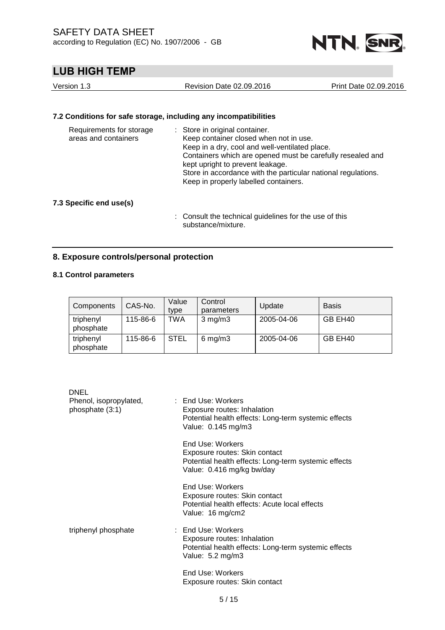

| Version 1.3 | Revision Date 02.09.2016 | Print Date 02.09.2016 |
|-------------|--------------------------|-----------------------|
|             |                          |                       |

## **7.2 Conditions for safe storage, including any incompatibilities**

| Requirements for storage<br>areas and containers | : Store in original container.<br>Keep container closed when not in use.<br>Keep in a dry, cool and well-ventilated place.<br>Containers which are opened must be carefully resealed and<br>kept upright to prevent leakage.<br>Store in accordance with the particular national regulations.<br>Keep in properly labelled containers. |
|--------------------------------------------------|----------------------------------------------------------------------------------------------------------------------------------------------------------------------------------------------------------------------------------------------------------------------------------------------------------------------------------------|
|--------------------------------------------------|----------------------------------------------------------------------------------------------------------------------------------------------------------------------------------------------------------------------------------------------------------------------------------------------------------------------------------------|

## **7.3 Specific end use(s)**

: Consult the technical guidelines for the use of this substance/mixture.

## **8. Exposure controls/personal protection**

## **8.1 Control parameters**

| Components             | CAS-No.  | Value<br>type | Control<br>parameters | Update     | <b>Basis</b> |
|------------------------|----------|---------------|-----------------------|------------|--------------|
| triphenyl<br>phosphate | 115-86-6 | TWA           | $3 \text{ mg/m}$      | 2005-04-06 | GB EH40      |
| triphenyl<br>phosphate | 115-86-6 | <b>STEL</b>   | $6 \,\mathrm{mg/m}$   | 2005-04-06 | GB EH40      |

| DNEL                                      |                                                                                                                                        |
|-------------------------------------------|----------------------------------------------------------------------------------------------------------------------------------------|
| Phenol, isopropylated,<br>phosphate (3:1) | : End Use: Workers<br>Exposure routes: Inhalation<br>Potential health effects: Long-term systemic effects<br>Value: 0.145 mg/m3        |
|                                           | End Use: Workers<br>Exposure routes: Skin contact<br>Potential health effects: Long-term systemic effects<br>Value: 0.416 mg/kg bw/day |
|                                           | End Use: Workers<br>Exposure routes: Skin contact<br>Potential health effects: Acute local effects<br>Value: 16 mg/cm2                 |
| triphenyl phosphate                       | : End Use: Workers<br>Exposure routes: Inhalation<br>Potential health effects: Long-term systemic effects<br>Value: 5.2 mg/m3          |
|                                           | End Use: Workers<br>Exposure routes: Skin contact                                                                                      |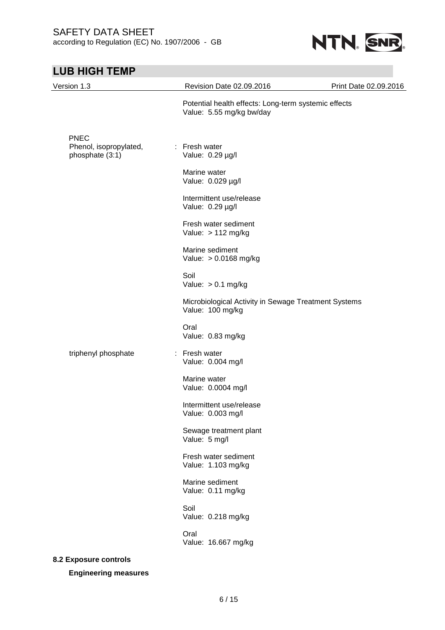

| Version 1.3                           | Revision Date 02.09.2016                                                         | Print Date 02.09.2016 |
|---------------------------------------|----------------------------------------------------------------------------------|-----------------------|
|                                       | Potential health effects: Long-term systemic effects<br>Value: 5.55 mg/kg bw/day |                       |
| <b>PNEC</b><br>Phenol, isopropylated, | : Fresh water                                                                    |                       |
| phosphate (3:1)                       | Value: 0.29 µg/l                                                                 |                       |
|                                       | Marine water<br>Value: 0.029 µg/l                                                |                       |
|                                       | Intermittent use/release<br>Value: 0.29 µg/l                                     |                       |
|                                       | Fresh water sediment<br>Value: $> 112$ mg/kg                                     |                       |
|                                       | Marine sediment<br>Value: > 0.0168 mg/kg                                         |                       |
|                                       | Soil<br>Value: $> 0.1$ mg/kg                                                     |                       |
|                                       | Microbiological Activity in Sewage Treatment Systems<br>Value: 100 mg/kg         |                       |
|                                       | Oral<br>Value: 0.83 mg/kg                                                        |                       |
| triphenyl phosphate                   | : Fresh water<br>Value: 0.004 mg/l                                               |                       |
|                                       | Marine water<br>Value: 0.0004 mg/l                                               |                       |
|                                       | Intermittent use/release<br>Value: 0.003 mg/l                                    |                       |
|                                       | Sewage treatment plant<br>Value: 5 mg/l                                          |                       |
|                                       | Fresh water sediment<br>Value: 1.103 mg/kg                                       |                       |
|                                       | Marine sediment<br>Value: 0.11 mg/kg                                             |                       |
|                                       | Soil<br>Value: 0.218 mg/kg                                                       |                       |
|                                       | Oral<br>Value: 16.667 mg/kg                                                      |                       |
| 8.2 Exposure controls                 |                                                                                  |                       |
| <b>Engineering measures</b>           |                                                                                  |                       |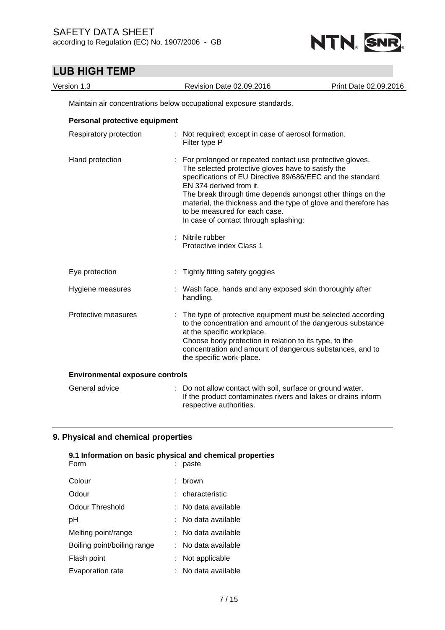

| Version 1.3                            | Revision Date 02.09.2016                                                                                                                                                                                                                                                                                                                                                                                           | Print Date 02.09.2016 |
|----------------------------------------|--------------------------------------------------------------------------------------------------------------------------------------------------------------------------------------------------------------------------------------------------------------------------------------------------------------------------------------------------------------------------------------------------------------------|-----------------------|
|                                        | Maintain air concentrations below occupational exposure standards.                                                                                                                                                                                                                                                                                                                                                 |                       |
| Personal protective equipment          |                                                                                                                                                                                                                                                                                                                                                                                                                    |                       |
| Respiratory protection                 | : Not required; except in case of aerosol formation.<br>Filter type P                                                                                                                                                                                                                                                                                                                                              |                       |
| Hand protection                        | For prolonged or repeated contact use protective gloves.<br>The selected protective gloves have to satisfy the<br>specifications of EU Directive 89/686/EEC and the standard<br>EN 374 derived from it.<br>The break through time depends amongst other things on the<br>material, the thickness and the type of glove and therefore has<br>to be measured for each case.<br>In case of contact through splashing: |                       |
|                                        | Nitrile rubber<br>Protective index Class 1                                                                                                                                                                                                                                                                                                                                                                         |                       |
| Eye protection                         | Tightly fitting safety goggles                                                                                                                                                                                                                                                                                                                                                                                     |                       |
| Hygiene measures                       | : Wash face, hands and any exposed skin thoroughly after<br>handling.                                                                                                                                                                                                                                                                                                                                              |                       |
| Protective measures                    | : The type of protective equipment must be selected according<br>to the concentration and amount of the dangerous substance<br>at the specific workplace.<br>Choose body protection in relation to its type, to the<br>concentration and amount of dangerous substances, and to<br>the specific work-place.                                                                                                        |                       |
| <b>Environmental exposure controls</b> |                                                                                                                                                                                                                                                                                                                                                                                                                    |                       |
| General advice                         | : Do not allow contact with soil, surface or ground water.<br>If the product contaminates rivers and lakes or drains inform<br>respective authorities.                                                                                                                                                                                                                                                             |                       |

## **9. Physical and chemical properties**

| Form                        | 9.1 Information on basic physical and chemical properties<br>paste |
|-----------------------------|--------------------------------------------------------------------|
| Colour                      | : brown                                                            |
| Odour                       | : characteristic                                                   |
| Odour Threshold             | $:$ No data available                                              |
| рH                          | : No data available                                                |
| Melting point/range         | $:$ No data available                                              |
| Boiling point/boiling range | : No data available                                                |
| Flash point                 | : Not applicable                                                   |
| Evaporation rate            | : No data available                                                |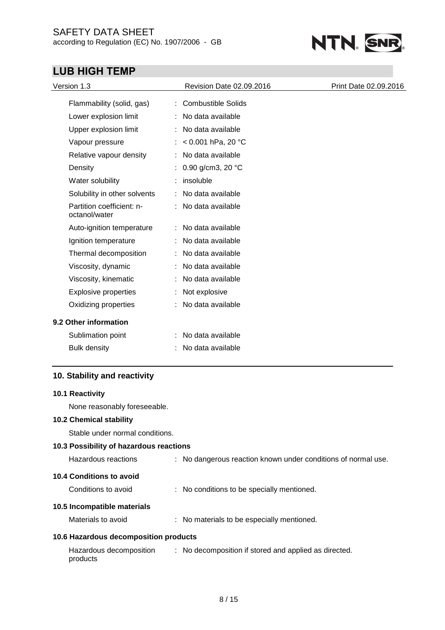## SAFETY DATA SHEET according to Regulation (EC) No. 1907/2006 - GB



# **LUB HIGH TEMP**

| Version 1.3                                | Revision Date 02.09.2016 | Print Date 02.09.2016 |
|--------------------------------------------|--------------------------|-----------------------|
| Flammability (solid, gas)                  | : Combustible Solids     |                       |
| Lower explosion limit                      | : No data available      |                       |
| Upper explosion limit                      | No data available        |                       |
| Vapour pressure                            | : < $0.001$ hPa, 20 °C   |                       |
| Relative vapour density                    | : No data available      |                       |
| Density                                    | 0.90 g/cm3, 20 °C        |                       |
| Water solubility                           | insoluble                |                       |
| Solubility in other solvents               | : No data available      |                       |
| Partition coefficient: n-<br>octanol/water | : No data available      |                       |
| Auto-ignition temperature                  | : No data available      |                       |
| Ignition temperature                       | No data available        |                       |
| Thermal decomposition                      | : No data available      |                       |
| Viscosity, dynamic                         | : No data available      |                       |
| Viscosity, kinematic                       | No data available        |                       |
| <b>Explosive properties</b>                | Not explosive            |                       |
| Oxidizing properties                       | : No data available      |                       |
| 9.2 Other information                      |                          |                       |
| Sublimation point                          | : No data available      |                       |
| <b>Bulk density</b>                        | No data available        |                       |

## **10. Stability and reactivity**

### **10.1 Reactivity**

None reasonably foreseeable.

## **10.2 Chemical stability**

Stable under normal conditions.

## **10.3 Possibility of hazardous reactions**

| Hazardous reactions                   | : No dangerous reaction known under conditions of normal use. |  |
|---------------------------------------|---------------------------------------------------------------|--|
| 10.4 Conditions to avoid              |                                                               |  |
| Conditions to avoid                   | : No conditions to be specially mentioned.                    |  |
| 10.5 Incompatible materials           |                                                               |  |
| Materials to avoid                    | : No materials to be especially mentioned.                    |  |
| 10.6 Hazardous decomposition products |                                                               |  |

| Hazardous decomposition | : No decomposition if stored and applied as directed. |
|-------------------------|-------------------------------------------------------|
| products                |                                                       |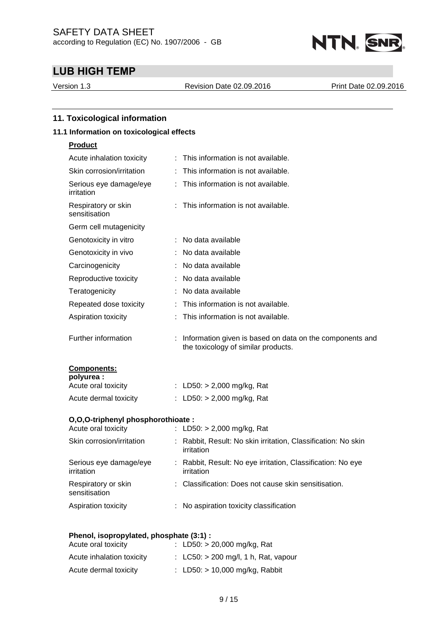

Version 1.3 Revision Date 02.09.2016 Print Date 02.09.2016

| 11.1 Information on toxicological effects |                                                                                                 |
|-------------------------------------------|-------------------------------------------------------------------------------------------------|
| <b>Product</b>                            |                                                                                                 |
| Acute inhalation toxicity                 | : This information is not available.                                                            |
| Skin corrosion/irritation                 | This information is not available.                                                              |
| Serious eye damage/eye<br>irritation      | : This information is not available.                                                            |
| Respiratory or skin<br>sensitisation      | : This information is not available.                                                            |
| Germ cell mutagenicity                    |                                                                                                 |
| Genotoxicity in vitro                     | : No data available                                                                             |
| Genotoxicity in vivo                      | : No data available                                                                             |
| Carcinogenicity                           | No data available                                                                               |
| Reproductive toxicity                     | : No data available                                                                             |
| Teratogenicity                            | No data available                                                                               |
| Repeated dose toxicity                    | : This information is not available.                                                            |
| Aspiration toxicity                       | : This information is not available.                                                            |
| Further information                       | Information given is based on data on the components and<br>the toxicology of similar products. |
| Components:                               |                                                                                                 |
| polyurea :<br>Acute oral toxicity         | : LD50: $> 2,000$ mg/kg, Rat                                                                    |
| Acute dermal toxicity                     | : LD50: $> 2,000$ mg/kg, Rat                                                                    |
|                                           |                                                                                                 |
| O,O,O-triphenyl phosphorothioate:         |                                                                                                 |
| Acute oral toxicity                       | : LD50: $> 2,000$ mg/kg, Rat                                                                    |
| Skin corrosion/irritation                 | : Rabbit, Result: No skin irritation, Classification: No skin<br>irritation                     |
| Serious eye damage/eye<br>irritation      | Rabbit, Result: No eye irritation, Classification: No eye<br>irritation                         |
| Respiratory or skin<br>sensitisation      | : Classification: Does not cause skin sensitisation.                                            |
| Aspiration toxicity                       | : No aspiration toxicity classification                                                         |

| Acute oral toxicity       |  | : LD50: $> 20,000$ mg/kg, Rat          |
|---------------------------|--|----------------------------------------|
| Acute inhalation toxicity |  | : LC50: $> 200$ mg/l, 1 h, Rat, vapour |
| Acute dermal toxicity     |  | : LD50: $> 10,000$ mg/kg, Rabbit       |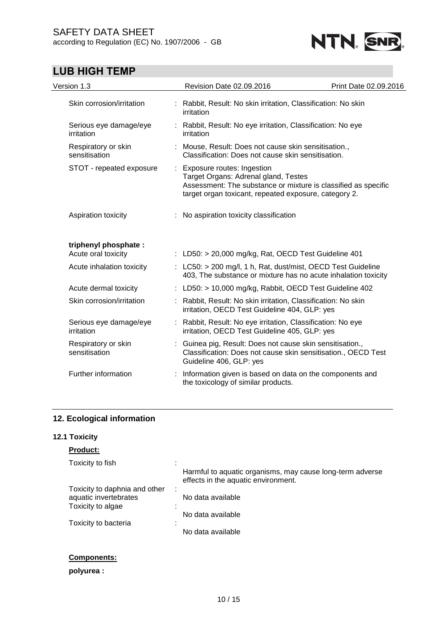

| Version 1.3                                 | Revision Date 02.09.2016                                                                                                      | Print Date 02.09.2016                                          |
|---------------------------------------------|-------------------------------------------------------------------------------------------------------------------------------|----------------------------------------------------------------|
| Skin corrosion/irritation                   | : Rabbit, Result: No skin irritation, Classification: No skin<br>irritation                                                   |                                                                |
| Serious eye damage/eye<br>irritation        | : Rabbit, Result: No eye irritation, Classification: No eye<br>irritation                                                     |                                                                |
| Respiratory or skin<br>sensitisation        | : Mouse, Result: Does not cause skin sensitisation.,<br>Classification: Does not cause skin sensitisation.                    |                                                                |
| STOT - repeated exposure                    | : Exposure routes: Ingestion<br>Target Organs: Adrenal gland, Testes<br>target organ toxicant, repeated exposure, category 2. | Assessment: The substance or mixture is classified as specific |
| Aspiration toxicity                         | : No aspiration toxicity classification                                                                                       |                                                                |
| triphenyl phosphate:<br>Acute oral toxicity | : LD50: > 20,000 mg/kg, Rat, OECD Test Guideline 401                                                                          |                                                                |
| Acute inhalation toxicity                   | : $LC50:$ > 200 mg/l, 1 h, Rat, dust/mist, OECD Test Guideline                                                                | 403, The substance or mixture has no acute inhalation toxicity |
| Acute dermal toxicity                       | : LD50: > 10,000 mg/kg, Rabbit, OECD Test Guideline 402                                                                       |                                                                |
| Skin corrosion/irritation                   | : Rabbit, Result: No skin irritation, Classification: No skin<br>irritation, OECD Test Guideline 404, GLP: yes                |                                                                |
| Serious eye damage/eye<br>irritation        | Rabbit, Result: No eye irritation, Classification: No eye<br>irritation, OECD Test Guideline 405, GLP: yes                    |                                                                |
| Respiratory or skin<br>sensitisation        | Guinea pig, Result: Does not cause skin sensitisation.,<br>Guideline 406, GLP: yes                                            | Classification: Does not cause skin sensitisation., OECD Test  |
| Further information                         | Information given is based on data on the components and<br>the toxicology of similar products.                               |                                                                |
|                                             |                                                                                                                               |                                                                |

## **12. Ecological information**

## **12.1 Toxicity**

## **Product:**

| Toxicity to fish              |   |                                                                                                  |
|-------------------------------|---|--------------------------------------------------------------------------------------------------|
|                               |   | Harmful to aquatic organisms, may cause long-term adverse<br>effects in the aquatic environment. |
| Toxicity to daphnia and other | ٠ |                                                                                                  |
| aquatic invertebrates         |   | No data available                                                                                |
| Toxicity to algae             |   |                                                                                                  |
|                               |   | No data available                                                                                |
| Toxicity to bacteria          | ٠ |                                                                                                  |
|                               |   | No data available                                                                                |

## **Components:**

## **polyurea :**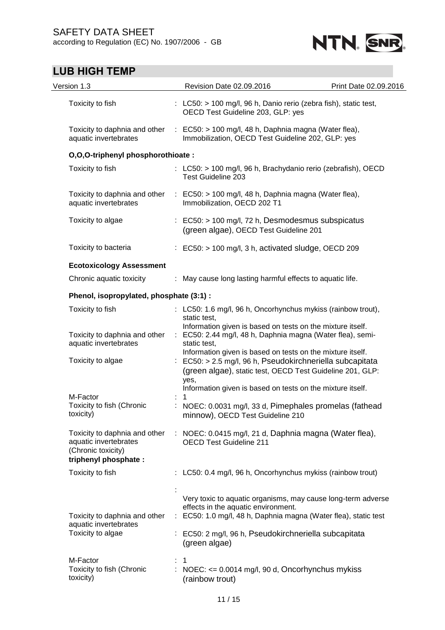



| Version 1.3                                                                                           | Revision Date 02.09.2016                                                                                                                                                                                                                                                                                                                                                                                               | Print Date 02.09.2016 |  |
|-------------------------------------------------------------------------------------------------------|------------------------------------------------------------------------------------------------------------------------------------------------------------------------------------------------------------------------------------------------------------------------------------------------------------------------------------------------------------------------------------------------------------------------|-----------------------|--|
| Toxicity to fish                                                                                      | : LC50: $>$ 100 mg/l, 96 h, Danio rerio (zebra fish), static test,<br>OECD Test Guideline 203, GLP: yes                                                                                                                                                                                                                                                                                                                |                       |  |
| Toxicity to daphnia and other<br>aquatic invertebrates                                                | $\therefore$ EC50: > 100 mg/l, 48 h, Daphnia magna (Water flea),<br>Immobilization, OECD Test Guideline 202, GLP: yes                                                                                                                                                                                                                                                                                                  |                       |  |
| O,O,O-triphenyl phosphorothioate:                                                                     |                                                                                                                                                                                                                                                                                                                                                                                                                        |                       |  |
| Toxicity to fish                                                                                      | : LC50: > 100 mg/l, 96 h, Brachydanio rerio (zebrafish), OECD<br><b>Test Guideline 203</b>                                                                                                                                                                                                                                                                                                                             |                       |  |
| Toxicity to daphnia and other<br>aquatic invertebrates                                                | $\therefore$ EC50: > 100 mg/l, 48 h, Daphnia magna (Water flea),<br>Immobilization, OECD 202 T1                                                                                                                                                                                                                                                                                                                        |                       |  |
| Toxicity to algae                                                                                     | $\therefore$ EC50: $>$ 100 mg/l, 72 h, Desmodesmus subspicatus<br>(green algae), OECD Test Guideline 201                                                                                                                                                                                                                                                                                                               |                       |  |
| Toxicity to bacteria                                                                                  | $\therefore$ EC50: > 100 mg/l, 3 h, activated sludge, OECD 209                                                                                                                                                                                                                                                                                                                                                         |                       |  |
| <b>Ecotoxicology Assessment</b>                                                                       |                                                                                                                                                                                                                                                                                                                                                                                                                        |                       |  |
| Chronic aquatic toxicity                                                                              | : May cause long lasting harmful effects to aquatic life.                                                                                                                                                                                                                                                                                                                                                              |                       |  |
| Phenol, isopropylated, phosphate (3:1) :                                                              |                                                                                                                                                                                                                                                                                                                                                                                                                        |                       |  |
| Toxicity to fish                                                                                      | : LC50: 1.6 mg/l, 96 h, Oncorhynchus mykiss (rainbow trout),<br>static test,<br>Information given is based on tests on the mixture itself.<br>: EC50: 2.44 mg/l, 48 h, Daphnia magna (Water flea), semi-<br>static test,<br>Information given is based on tests on the mixture itself.<br>EC50: > 2.5 mg/l, 96 h, Pseudokirchneriella subcapitata<br>(green algae), static test, OECD Test Guideline 201, GLP:<br>yes, |                       |  |
| Toxicity to daphnia and other<br>aquatic invertebrates                                                |                                                                                                                                                                                                                                                                                                                                                                                                                        |                       |  |
| Toxicity to algae                                                                                     |                                                                                                                                                                                                                                                                                                                                                                                                                        |                       |  |
| M-Factor                                                                                              | Information given is based on tests on the mixture itself.                                                                                                                                                                                                                                                                                                                                                             |                       |  |
| Toxicity to fish (Chronic<br>toxicity)                                                                | : NOEC: 0.0031 mg/l, 33 d, Pimephales promelas (fathead<br>minnow), OECD Test Guideline 210                                                                                                                                                                                                                                                                                                                            |                       |  |
| Toxicity to daphnia and other<br>aquatic invertebrates<br>(Chronic toxicity)<br>triphenyl phosphate : | : NOEC: 0.0415 mg/l, 21 d, Daphnia magna (Water flea),<br><b>OECD Test Guideline 211</b>                                                                                                                                                                                                                                                                                                                               |                       |  |
| Toxicity to fish                                                                                      | : LC50: 0.4 mg/l, 96 h, Oncorhynchus mykiss (rainbow trout)                                                                                                                                                                                                                                                                                                                                                            |                       |  |
|                                                                                                       |                                                                                                                                                                                                                                                                                                                                                                                                                        |                       |  |
| Toxicity to daphnia and other<br>aquatic invertebrates<br>Toxicity to algae                           | Very toxic to aquatic organisms, may cause long-term adverse<br>effects in the aquatic environment.<br>EC50: 1.0 mg/l, 48 h, Daphnia magna (Water flea), static test<br>÷.                                                                                                                                                                                                                                             |                       |  |
|                                                                                                       | : EC50: 2 mg/l, 96 h, Pseudokirchneriella subcapitata<br>(green algae)                                                                                                                                                                                                                                                                                                                                                 |                       |  |
| M-Factor                                                                                              | 1                                                                                                                                                                                                                                                                                                                                                                                                                      |                       |  |
| Toxicity to fish (Chronic<br>toxicity)                                                                | NOEC: <= 0.0014 mg/l, 90 d, Oncorhynchus mykiss<br>(rainbow trout)                                                                                                                                                                                                                                                                                                                                                     |                       |  |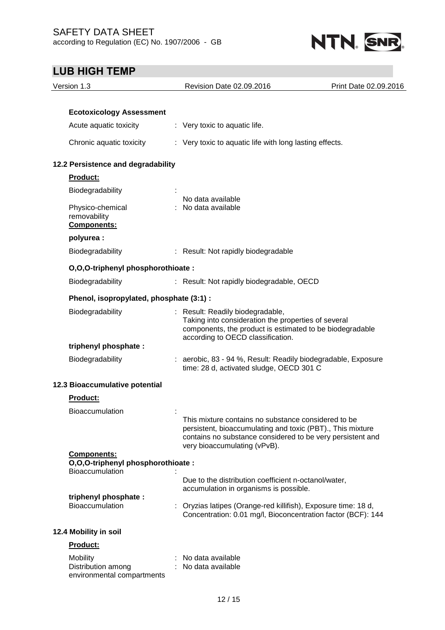

## **LUB HIGH TEMP** Version 1.3 Revision Date 02.09.2016 Print Date 02.09.2016 **Ecotoxicology Assessment** Acute aquatic toxicity : Very toxic to aquatic life. Chronic aquatic toxicity : Very toxic to aquatic life with long lasting effects. **12.2 Persistence and degradability Product: Biodegradability** No data available Physico-chemical removability : No data available **Components: polyurea :** Biodegradability : Result: Not rapidly biodegradable **O,O,O-triphenyl phosphorothioate :** Biodegradability : Result: Not rapidly biodegradable, OECD **Phenol, isopropylated, phosphate (3:1) :** Biodegradability : Result: Readily biodegradable, Taking into consideration the properties of several components, the product is estimated to be biodegradable according to OECD classification. **triphenyl phosphate :** Biodegradability : aerobic, 83 - 94 %, Result: Readily biodegradable, Exposure time: 28 d, activated sludge, OECD 301 C **12.3 Bioaccumulative potential Product:** Bioaccumulation : This mixture contains no substance considered to be persistent, bioaccumulating and toxic (PBT)., This mixture contains no substance considered to be very persistent and very bioaccumulating (vPvB). **Components: O,O,O-triphenyl phosphorothioate :** Bioaccumulation : Due to the distribution coefficient n-octanol/water, accumulation in organisms is possible. **triphenyl phosphate :** Bioaccumulation : Oryzias latipes (Orange-red killifish), Exposure time: 18 d, Concentration: 0.01 mg/l, Bioconcentration factor (BCF): 144 **12.4 Mobility in soil Product:** Mobility : No data available Distribution among : No data available

environmental compartments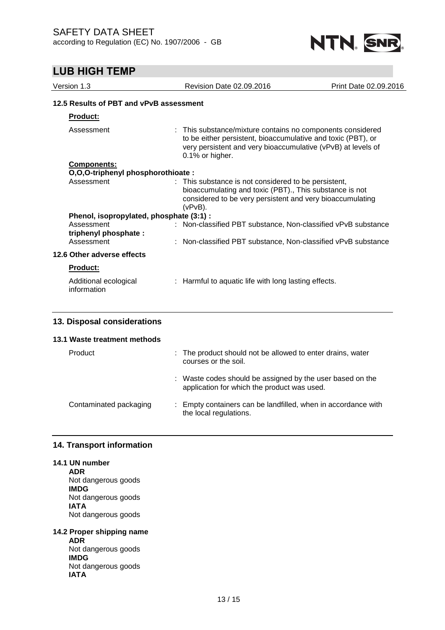

| Version 1.3                              | Revision Date 02.09.2016                                                                                                                                                                   | Print Date 02.09.2016                                                                                                                                                                      |  |  |
|------------------------------------------|--------------------------------------------------------------------------------------------------------------------------------------------------------------------------------------------|--------------------------------------------------------------------------------------------------------------------------------------------------------------------------------------------|--|--|
| 12.5 Results of PBT and vPvB assessment  |                                                                                                                                                                                            |                                                                                                                                                                                            |  |  |
| Product:                                 |                                                                                                                                                                                            |                                                                                                                                                                                            |  |  |
| Assessment                               | 0.1% or higher.                                                                                                                                                                            | : This substance/mixture contains no components considered<br>to be either persistent, bioaccumulative and toxic (PBT), or<br>very persistent and very bioaccumulative (vPvB) at levels of |  |  |
| <b>Components:</b>                       |                                                                                                                                                                                            |                                                                                                                                                                                            |  |  |
| O,O,O-triphenyl phosphorothioate:        |                                                                                                                                                                                            |                                                                                                                                                                                            |  |  |
| Assessment                               | : This substance is not considered to be persistent,<br>bioaccumulating and toxic (PBT)., This substance is not<br>considered to be very persistent and very bioaccumulating<br>$(vPvB)$ . |                                                                                                                                                                                            |  |  |
| Phenol, isopropylated, phosphate (3:1) : |                                                                                                                                                                                            |                                                                                                                                                                                            |  |  |
| Assessment<br>triphenyl phosphate:       | : Non-classified PBT substance, Non-classified vPvB substance                                                                                                                              |                                                                                                                                                                                            |  |  |
| Assessment                               | : Non-classified PBT substance, Non-classified vPvB substance                                                                                                                              |                                                                                                                                                                                            |  |  |
| 12.6 Other adverse effects               |                                                                                                                                                                                            |                                                                                                                                                                                            |  |  |
| <b>Product:</b>                          |                                                                                                                                                                                            |                                                                                                                                                                                            |  |  |
| Additional ecological<br>information     | : Harmful to aquatic life with long lasting effects.                                                                                                                                       |                                                                                                                                                                                            |  |  |
|                                          |                                                                                                                                                                                            |                                                                                                                                                                                            |  |  |

### **13. Disposal considerations**

### **13.1 Waste treatment methods**

- Product : The product should not be allowed to enter drains, water courses or the soil.
	- : Waste codes should be assigned by the user based on the application for which the product was used.
- Contaminated packaging : Empty containers can be landfilled, when in accordance with the local regulations.

## **14. Transport information**

## **14.1 UN number**

**ADR** Not dangerous goods **IMDG** Not dangerous goods **IATA** Not dangerous goods

**14.2 Proper shipping name ADR** Not dangerous goods **IMDG** Not dangerous goods **IATA**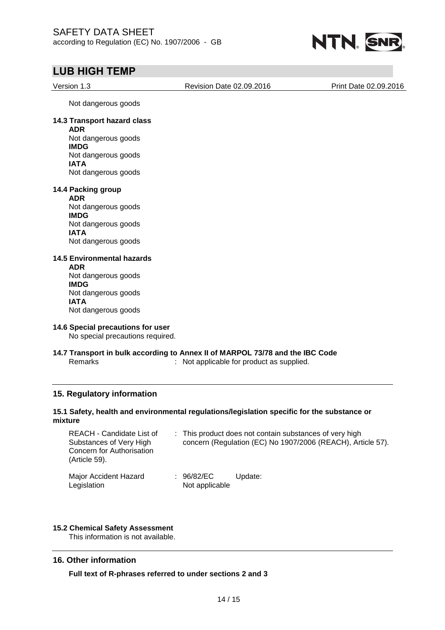

| Version 1.3                                                                                        | Revision Date 02.09.2016                                                                                               | Print Date 02.09.2016                                                                                                                                                                                                                                                                              |
|----------------------------------------------------------------------------------------------------|------------------------------------------------------------------------------------------------------------------------|----------------------------------------------------------------------------------------------------------------------------------------------------------------------------------------------------------------------------------------------------------------------------------------------------|
| Not dangerous goods                                                                                |                                                                                                                        |                                                                                                                                                                                                                                                                                                    |
| 14.3 Transport hazard class                                                                        |                                                                                                                        |                                                                                                                                                                                                                                                                                                    |
| Not dangerous goods<br><b>IMDG</b>                                                                 |                                                                                                                        |                                                                                                                                                                                                                                                                                                    |
| Not dangerous goods<br><b>IATA</b>                                                                 |                                                                                                                        |                                                                                                                                                                                                                                                                                                    |
| Not dangerous goods                                                                                |                                                                                                                        |                                                                                                                                                                                                                                                                                                    |
| 14.4 Packing group                                                                                 |                                                                                                                        |                                                                                                                                                                                                                                                                                                    |
| Not dangerous goods                                                                                |                                                                                                                        |                                                                                                                                                                                                                                                                                                    |
| Not dangerous goods                                                                                |                                                                                                                        |                                                                                                                                                                                                                                                                                                    |
| Not dangerous goods                                                                                |                                                                                                                        |                                                                                                                                                                                                                                                                                                    |
| <b>14.5 Environmental hazards</b><br><b>ADR</b>                                                    |                                                                                                                        |                                                                                                                                                                                                                                                                                                    |
| Not dangerous goods<br><b>IMDG</b>                                                                 |                                                                                                                        |                                                                                                                                                                                                                                                                                                    |
| Not dangerous goods<br><b>IATA</b>                                                                 |                                                                                                                        |                                                                                                                                                                                                                                                                                                    |
| Not dangerous goods                                                                                |                                                                                                                        |                                                                                                                                                                                                                                                                                                    |
|                                                                                                    |                                                                                                                        |                                                                                                                                                                                                                                                                                                    |
|                                                                                                    |                                                                                                                        |                                                                                                                                                                                                                                                                                                    |
|                                                                                                    |                                                                                                                        |                                                                                                                                                                                                                                                                                                    |
| 15. Regulatory information                                                                         |                                                                                                                        |                                                                                                                                                                                                                                                                                                    |
|                                                                                                    |                                                                                                                        |                                                                                                                                                                                                                                                                                                    |
| REACH - Candidate List of<br>Substances of Very High<br>Concern for Authorisation<br>(Article 59). | : This product does not contain substances of very high<br>concern (Regulation (EC) No 1907/2006 (REACH), Article 57). |                                                                                                                                                                                                                                                                                                    |
| Major Accident Hazard                                                                              | : 96/82/EC<br>Update:                                                                                                  |                                                                                                                                                                                                                                                                                                    |
|                                                                                                    | <b>ADR</b><br><b>ADR</b><br><b>IMDG</b><br><b>IATA</b><br><b>Remarks</b>                                               | 14.6 Special precautions for user<br>No special precautions required.<br>14.7 Transport in bulk according to Annex II of MARPOL 73/78 and the IBC Code<br>: Not applicable for product as supplied.<br>15.1 Safety, health and environmental regulations/legislation specific for the substance or |

### **16. Other information**

**Full text of R-phrases referred to under sections 2 and 3**